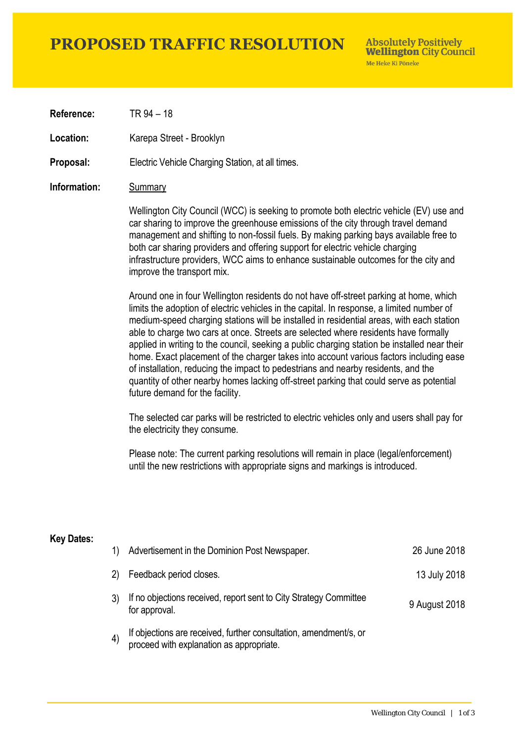# **PROPOSED TRAFFIC RESOLUTION**

**Absolutely Positively Wellington City Council** Me Heke Ki Pôneke

**Reference:** TR 94 – 18

Location: Karepa Street - Brooklyn

**Proposal:** Electric Vehicle Charging Station, at all times.

### **Information:** Summary

Wellington City Council (WCC) is seeking to promote both electric vehicle (EV) use and car sharing to improve the greenhouse emissions of the city through travel demand management and shifting to non-fossil fuels. By making parking bays available free to both car sharing providers and offering support for electric vehicle charging infrastructure providers, WCC aims to enhance sustainable outcomes for the city and improve the transport mix.

Around one in four Wellington residents do not have off-street parking at home, which limits the adoption of electric vehicles in the capital. In response, a limited number of medium-speed charging stations will be installed in residential areas, with each station able to charge two cars at once. Streets are selected where residents have formally applied in writing to the council, seeking a public charging station be installed near their home. Exact placement of the charger takes into account various factors including ease of installation, reducing the impact to pedestrians and nearby residents, and the quantity of other nearby homes lacking off-street parking that could serve as potential future demand for the facility.

The selected car parks will be restricted to electric vehicles only and users shall pay for the electricity they consume.

Please note: The current parking resolutions will remain in place (legal/enforcement) until the new restrictions with appropriate signs and markings is introduced.

#### **Key Dates:**

| 1)                | Advertisement in the Dominion Post Newspaper.                                                                 | 26 June 2018  |
|-------------------|---------------------------------------------------------------------------------------------------------------|---------------|
| 2)                | Feedback period closes.                                                                                       | 13 July 2018  |
|                   | If no objections received, report sent to City Strategy Committee<br>for approval.                            | 9 August 2018 |
| $\left( 4\right)$ | If objections are received, further consultation, amendment/s, or<br>proceed with explanation as appropriate. |               |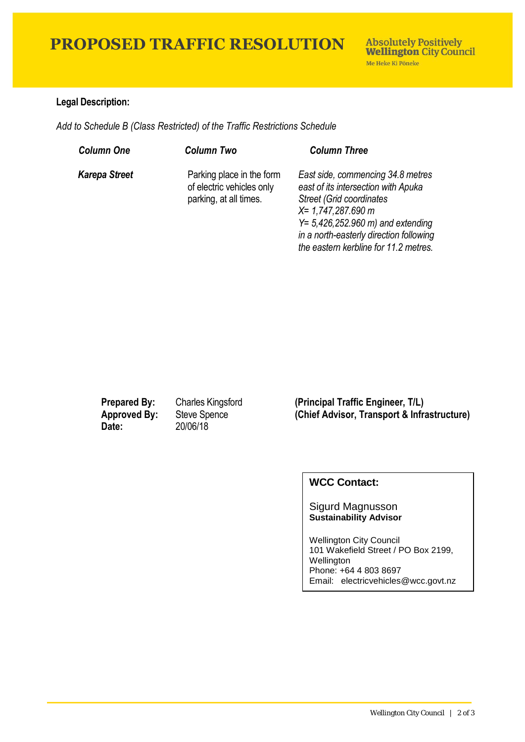# **PROPOSED TRAFFIC RESOLUTION**

## **Legal Description:**

*Add to Schedule B (Class Restricted) of the Traffic Restrictions Schedule* 

| <b>Column One</b>    | <b>Column Two</b>                                                                | <b>Column Three</b>                                                                                                                                                                                                                                                      |
|----------------------|----------------------------------------------------------------------------------|--------------------------------------------------------------------------------------------------------------------------------------------------------------------------------------------------------------------------------------------------------------------------|
| <b>Karepa Street</b> | Parking place in the form<br>of electric vehicles only<br>parking, at all times. | East side, commencing 34.8 metres<br>east of its intersection with Apuka<br><b>Street (Grid coordinates)</b><br>$X = 1,747,287.690$ m<br>$Y = 5,426,252.960 \text{ m}$ and extending<br>in a north-easterly direction following<br>the eastern kerbline for 11.2 metres. |

**Date:** 20/06/18

**Prepared By:** Charles Kingsford **(Principal Traffic Engineer, T/L) Approved By:** Steve Spence **(Chief Advisor, Transport & Infrastructure)**

## **WCC Contact:**

#### Sigurd Magnusson **Sustainability Advisor**

Wellington City Council 101 Wakefield Street / PO Box 2199, Wellington Phone: +64 4 803 8697 Email: electricvehicles@wcc.govt.nz